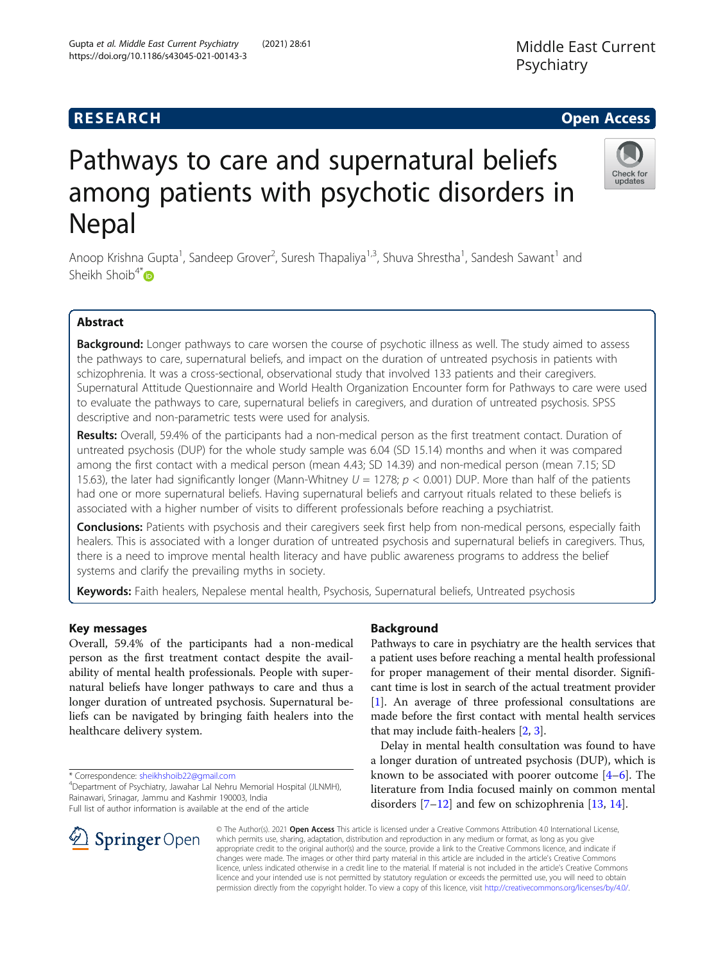## **RESEARCH CHE Open Access**

# Pathways to care and supernatural beliefs among patients with psychotic disorders in Nepal

Anoop Krishna Gupta<sup>1</sup>, Sandeep Grover<sup>2</sup>, Suresh Thapaliya<sup>1,3</sup>, Shuva Shrestha<sup>1</sup>, Sandesh Sawant<sup>1</sup> and Sheikh Shoib $4^*$ D

## Abstract

Background: Longer pathways to care worsen the course of psychotic illness as well. The study aimed to assess the pathways to care, supernatural beliefs, and impact on the duration of untreated psychosis in patients with schizophrenia. It was a cross-sectional, observational study that involved 133 patients and their caregivers. Supernatural Attitude Questionnaire and World Health Organization Encounter form for Pathways to care were used to evaluate the pathways to care, supernatural beliefs in caregivers, and duration of untreated psychosis. SPSS descriptive and non-parametric tests were used for analysis.

Results: Overall, 59.4% of the participants had a non-medical person as the first treatment contact. Duration of untreated psychosis (DUP) for the whole study sample was 6.04 (SD 15.14) months and when it was compared among the first contact with a medical person (mean 4.43; SD 14.39) and non-medical person (mean 7.15; SD 15.63), the later had significantly longer (Mann-Whitney  $U = 1278$ ;  $p < 0.001$ ) DUP. More than half of the patients had one or more supernatural beliefs. Having supernatural beliefs and carryout rituals related to these beliefs is associated with a higher number of visits to different professionals before reaching a psychiatrist.

Conclusions: Patients with psychosis and their caregivers seek first help from non-medical persons, especially faith healers. This is associated with a longer duration of untreated psychosis and supernatural beliefs in caregivers. Thus, there is a need to improve mental health literacy and have public awareness programs to address the belief systems and clarify the prevailing myths in society.

Keywords: Faith healers, Nepalese mental health, Psychosis, Supernatural beliefs, Untreated psychosis

## Key messages

Overall, 59.4% of the participants had a non-medical person as the first treatment contact despite the availability of mental health professionals. People with supernatural beliefs have longer pathways to care and thus a longer duration of untreated psychosis. Supernatural beliefs can be navigated by bringing faith healers into the healthcare delivery system.

\* Correspondence: [sheikhshoib22@gmail.com](mailto:sheikhshoib22@gmail.com) <sup>4</sup>

SpringerOpen

Full list of author information is available at the end of the article

## Background

Pathways to care in psychiatry are the health services that a patient uses before reaching a mental health professional for proper management of their mental disorder. Significant time is lost in search of the actual treatment provider [[1\]](#page-7-0). An average of three professional consultations are made before the first contact with mental health services that may include faith-healers [\[2](#page-7-0), [3\]](#page-7-0).

Delay in mental health consultation was found to have a longer duration of untreated psychosis (DUP), which is known to be associated with poorer outcome  $[4-6]$  $[4-6]$  $[4-6]$  $[4-6]$ . The literature from India focused mainly on common mental disorders  $[7-12]$  $[7-12]$  $[7-12]$  and few on schizophrenia [\[13,](#page-7-0) [14\]](#page-7-0).

© The Author(s). 2021 Open Access This article is licensed under a Creative Commons Attribution 4.0 International License, which permits use, sharing, adaptation, distribution and reproduction in any medium or format, as long as you give appropriate credit to the original author(s) and the source, provide a link to the Creative Commons licence, and indicate if changes were made. The images or other third party material in this article are included in the article's Creative Commons licence, unless indicated otherwise in a credit line to the material. If material is not included in the article's Creative Commons licence and your intended use is not permitted by statutory regulation or exceeds the permitted use, you will need to obtain permission directly from the copyright holder. To view a copy of this licence, visit <http://creativecommons.org/licenses/by/4.0/>.





Department of Psychiatry, Jawahar Lal Nehru Memorial Hospital (JLNMH), Rainawari, Srinagar, Jammu and Kashmir 190003, India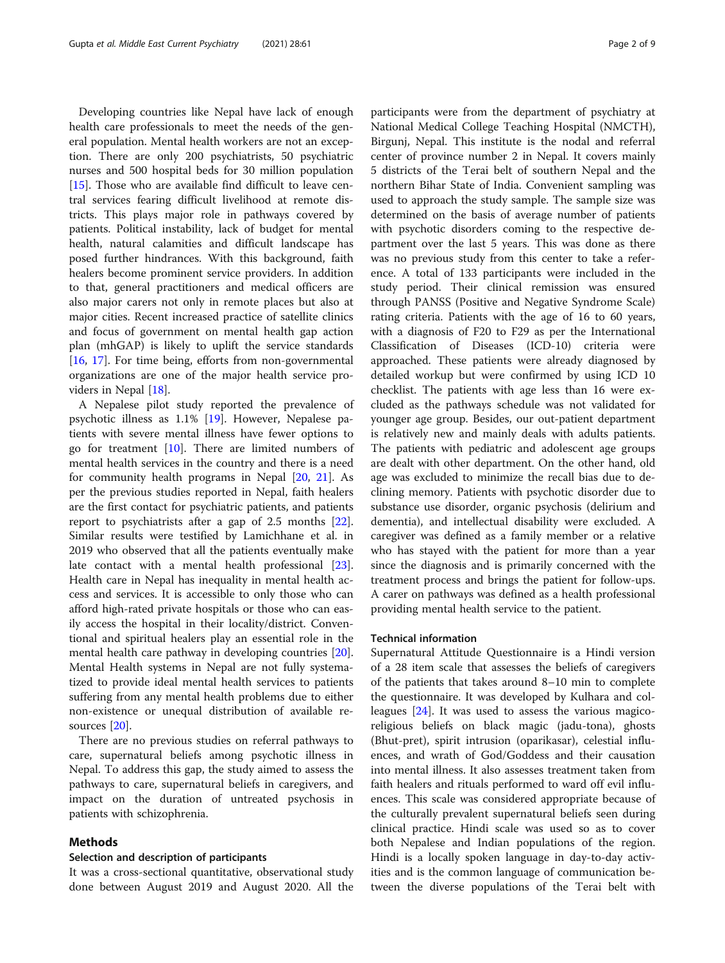Developing countries like Nepal have lack of enough health care professionals to meet the needs of the general population. Mental health workers are not an exception. There are only 200 psychiatrists, 50 psychiatric nurses and 500 hospital beds for 30 million population [[15\]](#page-7-0). Those who are available find difficult to leave central services fearing difficult livelihood at remote districts. This plays major role in pathways covered by patients. Political instability, lack of budget for mental health, natural calamities and difficult landscape has posed further hindrances. With this background, faith healers become prominent service providers. In addition to that, general practitioners and medical officers are also major carers not only in remote places but also at major cities. Recent increased practice of satellite clinics and focus of government on mental health gap action plan (mhGAP) is likely to uplift the service standards [[16,](#page-7-0) [17](#page-7-0)]. For time being, efforts from non-governmental organizations are one of the major health service providers in Nepal [[18\]](#page-7-0).

A Nepalese pilot study reported the prevalence of psychotic illness as 1.1% [\[19](#page-7-0)]. However, Nepalese patients with severe mental illness have fewer options to go for treatment  $[10]$ . There are limited numbers of mental health services in the country and there is a need for community health programs in Nepal [\[20,](#page-7-0) [21\]](#page-8-0). As per the previous studies reported in Nepal, faith healers are the first contact for psychiatric patients, and patients report to psychiatrists after a gap of 2.5 months [\[22](#page-8-0)]. Similar results were testified by Lamichhane et al. in 2019 who observed that all the patients eventually make late contact with a mental health professional [\[23](#page-8-0)]. Health care in Nepal has inequality in mental health access and services. It is accessible to only those who can afford high-rated private hospitals or those who can easily access the hospital in their locality/district. Conventional and spiritual healers play an essential role in the mental health care pathway in developing countries [\[20](#page-7-0)]. Mental Health systems in Nepal are not fully systematized to provide ideal mental health services to patients suffering from any mental health problems due to either non-existence or unequal distribution of available resources [\[20](#page-7-0)].

There are no previous studies on referral pathways to care, supernatural beliefs among psychotic illness in Nepal. To address this gap, the study aimed to assess the pathways to care, supernatural beliefs in caregivers, and impact on the duration of untreated psychosis in patients with schizophrenia.

#### Methods

#### Selection and description of participants

It was a cross-sectional quantitative, observational study done between August 2019 and August 2020. All the participants were from the department of psychiatry at National Medical College Teaching Hospital (NMCTH), Birgunj, Nepal. This institute is the nodal and referral center of province number 2 in Nepal. It covers mainly 5 districts of the Terai belt of southern Nepal and the northern Bihar State of India. Convenient sampling was used to approach the study sample. The sample size was determined on the basis of average number of patients with psychotic disorders coming to the respective department over the last 5 years. This was done as there was no previous study from this center to take a reference. A total of 133 participants were included in the study period. Their clinical remission was ensured through PANSS (Positive and Negative Syndrome Scale) rating criteria. Patients with the age of 16 to 60 years, with a diagnosis of F20 to F29 as per the International Classification of Diseases (ICD-10) criteria were approached. These patients were already diagnosed by detailed workup but were confirmed by using ICD 10 checklist. The patients with age less than 16 were excluded as the pathways schedule was not validated for younger age group. Besides, our out-patient department is relatively new and mainly deals with adults patients. The patients with pediatric and adolescent age groups are dealt with other department. On the other hand, old age was excluded to minimize the recall bias due to declining memory. Patients with psychotic disorder due to substance use disorder, organic psychosis (delirium and dementia), and intellectual disability were excluded. A caregiver was defined as a family member or a relative who has stayed with the patient for more than a year since the diagnosis and is primarily concerned with the treatment process and brings the patient for follow-ups. A carer on pathways was defined as a health professional providing mental health service to the patient.

#### Technical information

Supernatural Attitude Questionnaire is a Hindi version of a 28 item scale that assesses the beliefs of caregivers of the patients that takes around 8–10 min to complete the questionnaire. It was developed by Kulhara and colleagues [[24\]](#page-8-0). It was used to assess the various magicoreligious beliefs on black magic (jadu-tona), ghosts (Bhut-pret), spirit intrusion (oparikasar), celestial influences, and wrath of God/Goddess and their causation into mental illness. It also assesses treatment taken from faith healers and rituals performed to ward off evil influences. This scale was considered appropriate because of the culturally prevalent supernatural beliefs seen during clinical practice. Hindi scale was used so as to cover both Nepalese and Indian populations of the region. Hindi is a locally spoken language in day-to-day activities and is the common language of communication between the diverse populations of the Terai belt with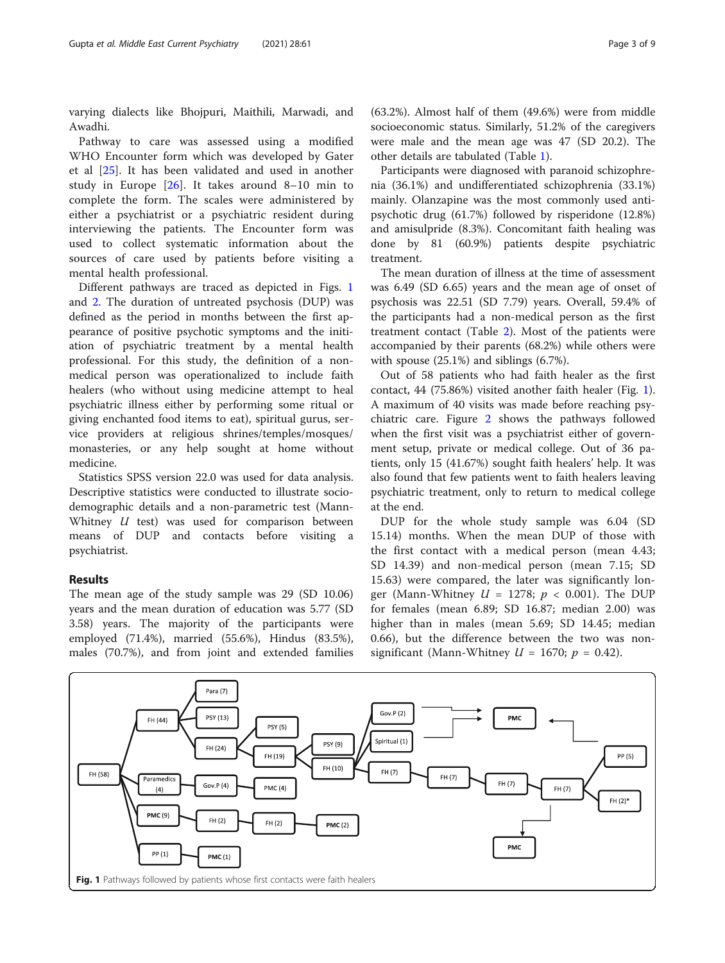varying dialects like Bhojpuri, Maithili, Marwadi, and Awadhi.

Pathway to care was assessed using a modified WHO Encounter form which was developed by Gater et al [[25\]](#page-8-0). It has been validated and used in another study in Europe  $[26]$  $[26]$ . It takes around 8–10 min to complete the form. The scales were administered by either a psychiatrist or a psychiatric resident during interviewing the patients. The Encounter form was used to collect systematic information about the sources of care used by patients before visiting a mental health professional.

Different pathways are traced as depicted in Figs. 1 and [2.](#page-3-0) The duration of untreated psychosis (DUP) was defined as the period in months between the first appearance of positive psychotic symptoms and the initiation of psychiatric treatment by a mental health professional. For this study, the definition of a nonmedical person was operationalized to include faith healers (who without using medicine attempt to heal psychiatric illness either by performing some ritual or giving enchanted food items to eat), spiritual gurus, service providers at religious shrines/temples/mosques/ monasteries, or any help sought at home without medicine.

Statistics SPSS version 22.0 was used for data analysis. Descriptive statistics were conducted to illustrate sociodemographic details and a non-parametric test (Mann-Whitney  $U$  test) was used for comparison between means of DUP and contacts before visiting a psychiatrist.

## Results

The mean age of the study sample was 29 (SD 10.06) years and the mean duration of education was 5.77 (SD 3.58) years. The majority of the participants were employed (71.4%), married (55.6%), Hindus (83.5%), males (70.7%), and from joint and extended families

(63.2%). Almost half of them (49.6%) were from middle socioeconomic status. Similarly, 51.2% of the caregivers were male and the mean age was 47 (SD 20.2). The other details are tabulated (Table [1](#page-3-0)).

Participants were diagnosed with paranoid schizophrenia (36.1%) and undifferentiated schizophrenia (33.1%) mainly. Olanzapine was the most commonly used antipsychotic drug (61.7%) followed by risperidone (12.8%) and amisulpride (8.3%). Concomitant faith healing was done by 81 (60.9%) patients despite psychiatric treatment.

The mean duration of illness at the time of assessment was 6.49 (SD 6.65) years and the mean age of onset of psychosis was 22.51 (SD 7.79) years. Overall, 59.4% of the participants had a non-medical person as the first treatment contact (Table [2\)](#page-4-0). Most of the patients were accompanied by their parents (68.2%) while others were with spouse (25.1%) and siblings (6.7%).

Out of 58 patients who had faith healer as the first contact, 44 (75.86%) visited another faith healer (Fig. 1). A maximum of 40 visits was made before reaching psychiatric care. Figure [2](#page-3-0) shows the pathways followed when the first visit was a psychiatrist either of government setup, private or medical college. Out of 36 patients, only 15 (41.67%) sought faith healers' help. It was also found that few patients went to faith healers leaving psychiatric treatment, only to return to medical college at the end.

DUP for the whole study sample was 6.04 (SD 15.14) months. When the mean DUP of those with the first contact with a medical person (mean 4.43; SD 14.39) and non-medical person (mean 7.15; SD 15.63) were compared, the later was significantly longer (Mann-Whitney  $U = 1278$ ;  $p < 0.001$ ). The DUP for females (mean 6.89; SD 16.87; median 2.00) was higher than in males (mean 5.69; SD 14.45; median 0.66), but the difference between the two was nonsignificant (Mann-Whitney  $U = 1670$ ;  $p = 0.42$ ).

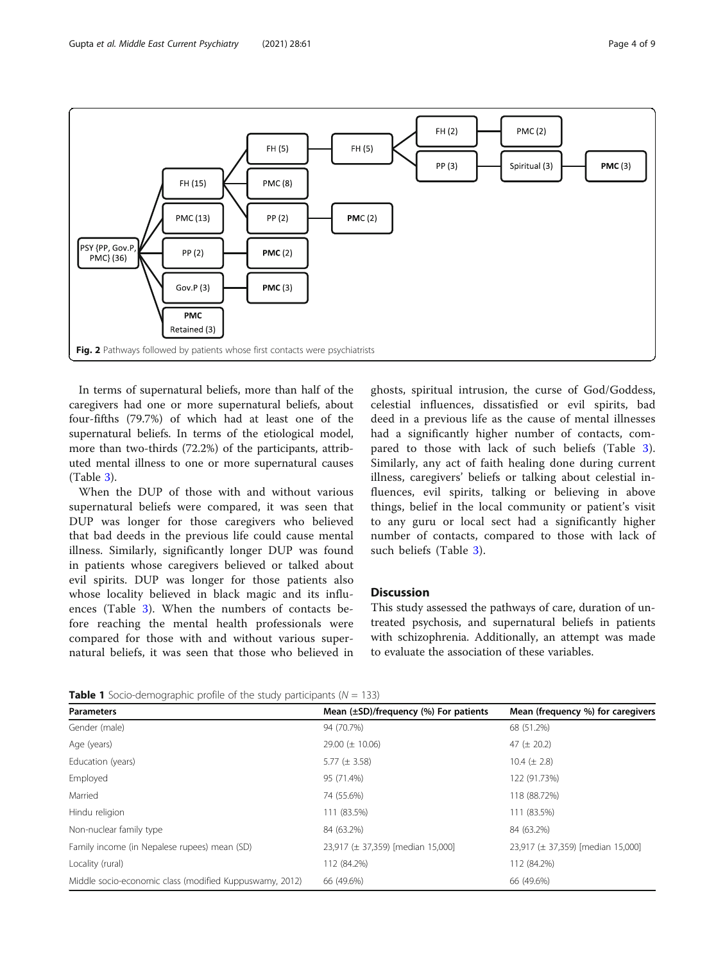<span id="page-3-0"></span>

In terms of supernatural beliefs, more than half of the caregivers had one or more supernatural beliefs, about four-fifths (79.7%) of which had at least one of the supernatural beliefs. In terms of the etiological model, more than two-thirds (72.2%) of the participants, attributed mental illness to one or more supernatural causes (Table [3\)](#page-5-0).

When the DUP of those with and without various supernatural beliefs were compared, it was seen that DUP was longer for those caregivers who believed that bad deeds in the previous life could cause mental illness. Similarly, significantly longer DUP was found in patients whose caregivers believed or talked about evil spirits. DUP was longer for those patients also whose locality believed in black magic and its influences (Table [3\)](#page-5-0). When the numbers of contacts before reaching the mental health professionals were compared for those with and without various supernatural beliefs, it was seen that those who believed in

ghosts, spiritual intrusion, the curse of God/Goddess, celestial influences, dissatisfied or evil spirits, bad deed in a previous life as the cause of mental illnesses had a significantly higher number of contacts, compared to those with lack of such beliefs (Table [3](#page-5-0)). Similarly, any act of faith healing done during current illness, caregivers' beliefs or talking about celestial influences, evil spirits, talking or believing in above things, belief in the local community or patient's visit to any guru or local sect had a significantly higher number of contacts, compared to those with lack of such beliefs (Table [3\)](#page-5-0).

#### **Discussion**

This study assessed the pathways of care, duration of untreated psychosis, and supernatural beliefs in patients with schizophrenia. Additionally, an attempt was made to evaluate the association of these variables.

**Table 1** Socio-demographic profile of the study participants ( $N = 133$ )

| <b>Parameters</b>                                       | Mean $(\pm SD)/$ frequency $(\%)$ For patients | Mean (frequency %) for caregivers |  |
|---------------------------------------------------------|------------------------------------------------|-----------------------------------|--|
| Gender (male)                                           | 94 (70.7%)                                     | 68 (51.2%)                        |  |
| Age (years)                                             | 29.00 ( $\pm$ 10.06)                           | 47 ( $\pm$ 20.2)                  |  |
| Education (years)                                       | 5.77 ( $\pm$ 3.58)                             | 10.4 ( $\pm$ 2.8)                 |  |
| Employed                                                | 95 (71.4%)                                     | 122 (91.73%)                      |  |
| Married                                                 | 74 (55.6%)                                     | 118 (88.72%)                      |  |
| Hindu religion                                          | 111 (83.5%)                                    | 111 (83.5%)                       |  |
| Non-nuclear family type                                 | 84 (63.2%)                                     | 84 (63.2%)                        |  |
| Family income (in Nepalese rupees) mean (SD)            | 23,917 (± 37,359) [median 15,000]              | 23,917 (± 37,359) [median 15,000] |  |
| Locality (rural)                                        | 112 (84.2%)                                    | 112 (84.2%)                       |  |
| Middle socio-economic class (modified Kuppuswamy, 2012) | 66 (49.6%)                                     | 66 (49.6%)                        |  |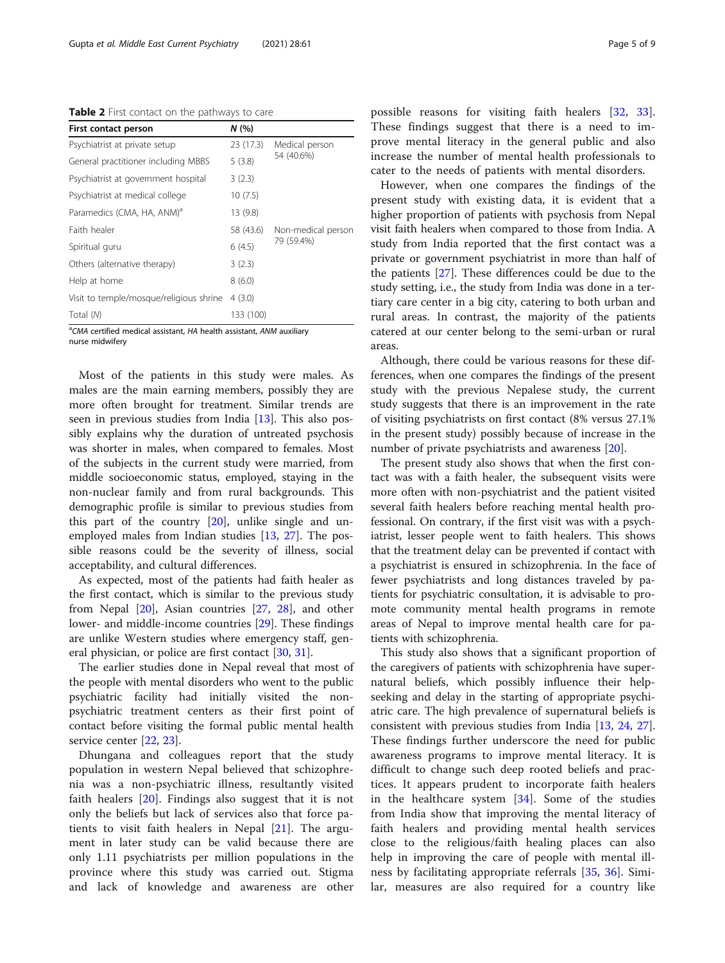<span id="page-4-0"></span>Table 2 First contact on the pathways to care

| First contact person                    | N(%       |                    |
|-----------------------------------------|-----------|--------------------|
| Psychiatrist at private setup           | 23(17.3)  | Medical person     |
| General practitioner including MBBS     | 5(3.8)    | 54 (40.6%)         |
| Psychiatrist at government hospital     | 3(2.3)    |                    |
| Psychiatrist at medical college         | 10(7.5)   |                    |
| Paramedics (CMA, HA, ANM) <sup>a</sup>  | 13 (9.8)  |                    |
| Faith healer                            | 58 (43.6) | Non-medical person |
| Spiritual guru                          | 6(4.5)    | 79 (59.4%)         |
| Others (alternative therapy)            | 3(2.3)    |                    |
| Help at home                            | 8(6.0)    |                    |
| Visit to temple/mosque/religious shrine | 4(3.0)    |                    |
| Total (N)                               | 133 (100) |                    |

<sup>a</sup>CMA certified medical assistant, HA health assistant, ANM auxiliary nurse midwifery

Most of the patients in this study were males. As males are the main earning members, possibly they are more often brought for treatment. Similar trends are seen in previous studies from India [\[13](#page-7-0)]. This also possibly explains why the duration of untreated psychosis was shorter in males, when compared to females. Most of the subjects in the current study were married, from middle socioeconomic status, employed, staying in the non-nuclear family and from rural backgrounds. This demographic profile is similar to previous studies from this part of the country  $[20]$  $[20]$ , unlike single and unemployed males from Indian studies [\[13](#page-7-0), [27](#page-8-0)]. The possible reasons could be the severity of illness, social acceptability, and cultural differences.

As expected, most of the patients had faith healer as the first contact, which is similar to the previous study from Nepal [[20](#page-7-0)], Asian countries [\[27](#page-8-0), [28\]](#page-8-0), and other lower- and middle-income countries [[29](#page-8-0)]. These findings are unlike Western studies where emergency staff, general physician, or police are first contact [\[30](#page-8-0), [31\]](#page-8-0).

The earlier studies done in Nepal reveal that most of the people with mental disorders who went to the public psychiatric facility had initially visited the nonpsychiatric treatment centers as their first point of contact before visiting the formal public mental health service center [[22,](#page-8-0) [23\]](#page-8-0).

Dhungana and colleagues report that the study population in western Nepal believed that schizophrenia was a non-psychiatric illness, resultantly visited faith healers [\[20](#page-7-0)]. Findings also suggest that it is not only the beliefs but lack of services also that force patients to visit faith healers in Nepal [[21\]](#page-8-0). The argument in later study can be valid because there are only 1.11 psychiatrists per million populations in the province where this study was carried out. Stigma and lack of knowledge and awareness are other

possible reasons for visiting faith healers [[32,](#page-8-0) [33](#page-8-0)]. These findings suggest that there is a need to improve mental literacy in the general public and also increase the number of mental health professionals to cater to the needs of patients with mental disorders.

However, when one compares the findings of the present study with existing data, it is evident that a higher proportion of patients with psychosis from Nepal visit faith healers when compared to those from India. A study from India reported that the first contact was a private or government psychiatrist in more than half of the patients [\[27](#page-8-0)]. These differences could be due to the study setting, i.e., the study from India was done in a tertiary care center in a big city, catering to both urban and rural areas. In contrast, the majority of the patients catered at our center belong to the semi-urban or rural areas.

Although, there could be various reasons for these differences, when one compares the findings of the present study with the previous Nepalese study, the current study suggests that there is an improvement in the rate of visiting psychiatrists on first contact (8% versus 27.1% in the present study) possibly because of increase in the number of private psychiatrists and awareness [[20\]](#page-7-0).

The present study also shows that when the first contact was with a faith healer, the subsequent visits were more often with non-psychiatrist and the patient visited several faith healers before reaching mental health professional. On contrary, if the first visit was with a psychiatrist, lesser people went to faith healers. This shows that the treatment delay can be prevented if contact with a psychiatrist is ensured in schizophrenia. In the face of fewer psychiatrists and long distances traveled by patients for psychiatric consultation, it is advisable to promote community mental health programs in remote areas of Nepal to improve mental health care for patients with schizophrenia.

This study also shows that a significant proportion of the caregivers of patients with schizophrenia have supernatural beliefs, which possibly influence their helpseeking and delay in the starting of appropriate psychiatric care. The high prevalence of supernatural beliefs is consistent with previous studies from India [\[13](#page-7-0), [24,](#page-8-0) [27](#page-8-0)]. These findings further underscore the need for public awareness programs to improve mental literacy. It is difficult to change such deep rooted beliefs and practices. It appears prudent to incorporate faith healers in the healthcare system [\[34](#page-8-0)]. Some of the studies from India show that improving the mental literacy of faith healers and providing mental health services close to the religious/faith healing places can also help in improving the care of people with mental illness by facilitating appropriate referrals [[35,](#page-8-0) [36\]](#page-8-0). Similar, measures are also required for a country like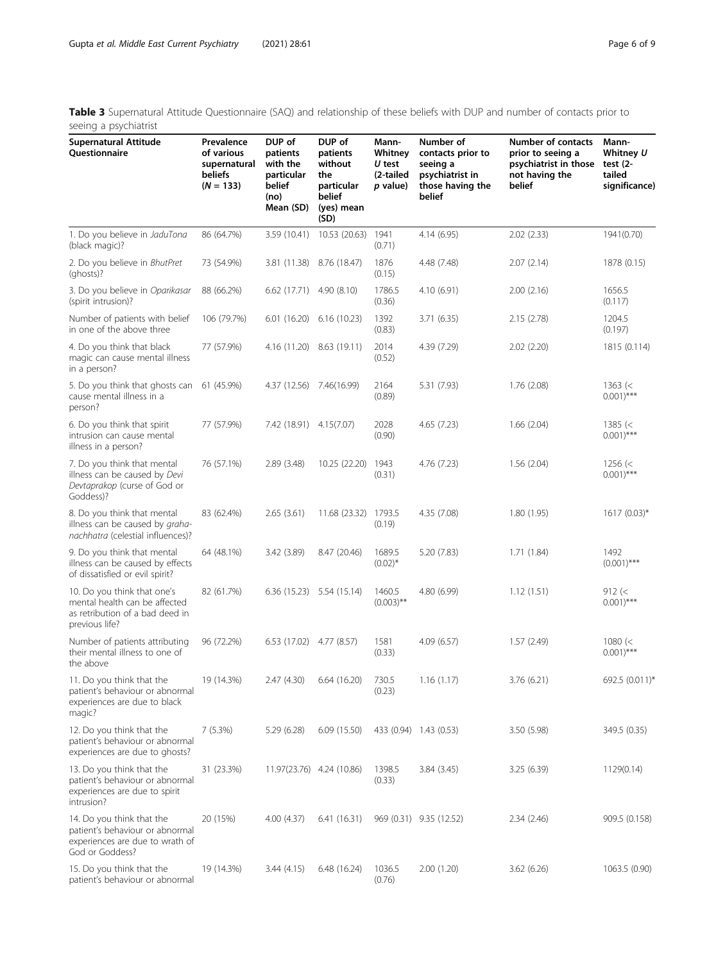<span id="page-5-0"></span>Table 3 Supernatural Attitude Questionnaire (SAQ) and relationship of these beliefs with DUP and number of contacts prior to seeing a psychiatrist

| <b>Supernatural Attitude</b><br>Questionnaire                                                                      | Prevalence<br>of various<br>supernatural<br><b>beliefs</b><br>$(N = 133)$ | DUP of<br>patients<br>with the<br>particular<br>belief<br>(no)<br>Mean (SD) | DUP of<br>patients<br>without<br>the<br>particular<br>belief<br>(yes) mean<br>(SD) | Mann-<br>Whitney<br>$U$ test<br>(2-tailed<br>p value) | Number of<br>contacts prior to<br>seeing a<br>psychiatrist in<br>those having the<br>belief | Number of contacts<br>prior to seeing a<br>psychiatrist in those<br>not having the<br>belief | Mann-<br>Whitney U<br>test $(2 -$<br>tailed<br>significance) |
|--------------------------------------------------------------------------------------------------------------------|---------------------------------------------------------------------------|-----------------------------------------------------------------------------|------------------------------------------------------------------------------------|-------------------------------------------------------|---------------------------------------------------------------------------------------------|----------------------------------------------------------------------------------------------|--------------------------------------------------------------|
| 1. Do you believe in JaduTona<br>(black magic)?                                                                    | 86 (64.7%)                                                                | 3.59 (10.41)                                                                | 10.53 (20.63)                                                                      | 1941<br>(0.71)                                        | 4.14 (6.95)                                                                                 | 2.02(2.33)                                                                                   | 1941(0.70)                                                   |
| 2. Do you believe in BhutPret<br>(ghosts)?                                                                         | 73 (54.9%)                                                                | 3.81 (11.38)                                                                | 8.76 (18.47)                                                                       | 1876<br>(0.15)                                        | 4.48 (7.48)                                                                                 | 2.07(2.14)                                                                                   | 1878 (0.15)                                                  |
| 3. Do you believe in Oparikasar<br>(spirit intrusion)?                                                             | 88 (66.2%)                                                                | 6.62(17.71)                                                                 | 4.90(8.10)                                                                         | 1786.5<br>(0.36)                                      | 4.10 (6.91)                                                                                 | 2.00(2.16)                                                                                   | 1656.5<br>(0.117)                                            |
| Number of patients with belief<br>in one of the above three                                                        | 106 (79.7%)                                                               | 6.01(16.20)                                                                 | 6.16(10.23)                                                                        | 1392<br>(0.83)                                        | 3.71(6.35)                                                                                  | 2.15 (2.78)                                                                                  | 1204.5<br>(0.197)                                            |
| 4. Do you think that black<br>magic can cause mental illness<br>in a person?                                       | 77 (57.9%)                                                                |                                                                             | 4.16 (11.20) 8.63 (19.11)                                                          | 2014<br>(0.52)                                        | 4.39 (7.29)                                                                                 | 2.02(2.20)                                                                                   | 1815 (0.114)                                                 |
| 5. Do you think that ghosts can 61 (45.9%)<br>cause mental illness in a<br>person?                                 |                                                                           | 4.37 (12.56) 7.46 (16.99)                                                   |                                                                                    | 2164<br>(0.89)                                        | 5.31 (7.93)                                                                                 | 1.76(2.08)                                                                                   | 1363 (<<br>$0.001$ <sup>***</sup>                            |
| 6. Do you think that spirit<br>intrusion can cause mental<br>illness in a person?                                  | 77 (57.9%)                                                                | 7.42 (18.91) 4.15 (7.07)                                                    |                                                                                    | 2028<br>(0.90)                                        | 4.65 (7.23)                                                                                 | 1.66(2.04)                                                                                   | 1385 $(<$<br>$0.001)$ ***                                    |
| 7. Do you think that mental<br>illness can be caused by Devi<br>Devtaprakop (curse of God or<br>Goddess)?          | 76 (57.1%)                                                                | 2.89 (3.48)                                                                 | 10.25 (22.20)                                                                      | 1943<br>(0.31)                                        | 4.76 (7.23)                                                                                 | 1.56(2.04)                                                                                   | 1256 (<<br>$0.001)$ ***                                      |
| 8. Do you think that mental<br>illness can be caused by graha-<br>nachhatra (celestial influences)?                | 83 (62.4%)                                                                | 2.65(3.61)                                                                  | 11.68 (23.32)                                                                      | 1793.5<br>(0.19)                                      | 4.35 (7.08)                                                                                 | 1.80(1.95)                                                                                   | 1617 (0.03)*                                                 |
| 9. Do you think that mental<br>illness can be caused by effects<br>of dissatisfied or evil spirit?                 | 64 (48.1%)                                                                | 3.42 (3.89)                                                                 | 8.47 (20.46)                                                                       | 1689.5<br>$(0.02)^*$                                  | 5.20 (7.83)                                                                                 | 1.71(1.84)                                                                                   | 1492<br>$(0.001)$ ***                                        |
| 10. Do you think that one's<br>mental health can be affected<br>as retribution of a bad deed in<br>previous life?  | 82 (61.7%)                                                                |                                                                             | 6.36 (15.23) 5.54 (15.14)                                                          | 1460.5<br>$(0.003)$ **                                | 4.80 (6.99)                                                                                 | 1.12(1.51)                                                                                   | 912 (<<br>$0.001)$ ***                                       |
| Number of patients attributing<br>their mental illness to one of<br>the above                                      | 96 (72.2%)                                                                | 6.53 (17.02) 4.77 (8.57)                                                    |                                                                                    | 1581<br>(0.33)                                        | 4.09 (6.57)                                                                                 | 1.57(2.49)                                                                                   | 1080 (<<br>$0.001$ <sup>***</sup>                            |
| 11. Do you think that the<br>patient's behaviour or abnormal<br>experiences are due to black<br>magic?             | 19 (14.3%)                                                                | 2.47 (4.30)                                                                 | 6.64(16.20)                                                                        | 730.5<br>(0.23)                                       | 1.16(1.17)                                                                                  | 3.76 (6.21)                                                                                  | 692.5 (0.011)*                                               |
| 12. Do you think that the<br>patient's behaviour or abnormal<br>experiences are due to ghosts?                     | 7(5.3%)                                                                   | 5.29 (6.28)                                                                 | 6.09(15.50)                                                                        |                                                       | 433 (0.94) 1.43 (0.53)                                                                      | 3.50 (5.98)                                                                                  | 349.5 (0.35)                                                 |
| 13. Do you think that the<br>patient's behaviour or abnormal<br>experiences are due to spirit<br>intrusion?        | 31 (23.3%)                                                                |                                                                             | 11.97(23.76) 4.24 (10.86)                                                          | 1398.5<br>(0.33)                                      | 3.84(3.45)                                                                                  | 3.25(6.39)                                                                                   | 1129(0.14)                                                   |
| 14. Do you think that the<br>patient's behaviour or abnormal<br>experiences are due to wrath of<br>God or Goddess? | 20 (15%)                                                                  | 4.00(4.37)                                                                  | 6.41(16.31)                                                                        |                                                       | 969 (0.31) 9.35 (12.52)                                                                     | 2.34(2.46)                                                                                   | 909.5 (0.158)                                                |
| 15. Do you think that the<br>patient's behaviour or abnormal                                                       | 19 (14.3%)                                                                | 3.44(4.15)                                                                  | 6.48(16.24)                                                                        | 1036.5<br>(0.76)                                      | 2.00(1.20)                                                                                  | 3.62(6.26)                                                                                   | 1063.5 (0.90)                                                |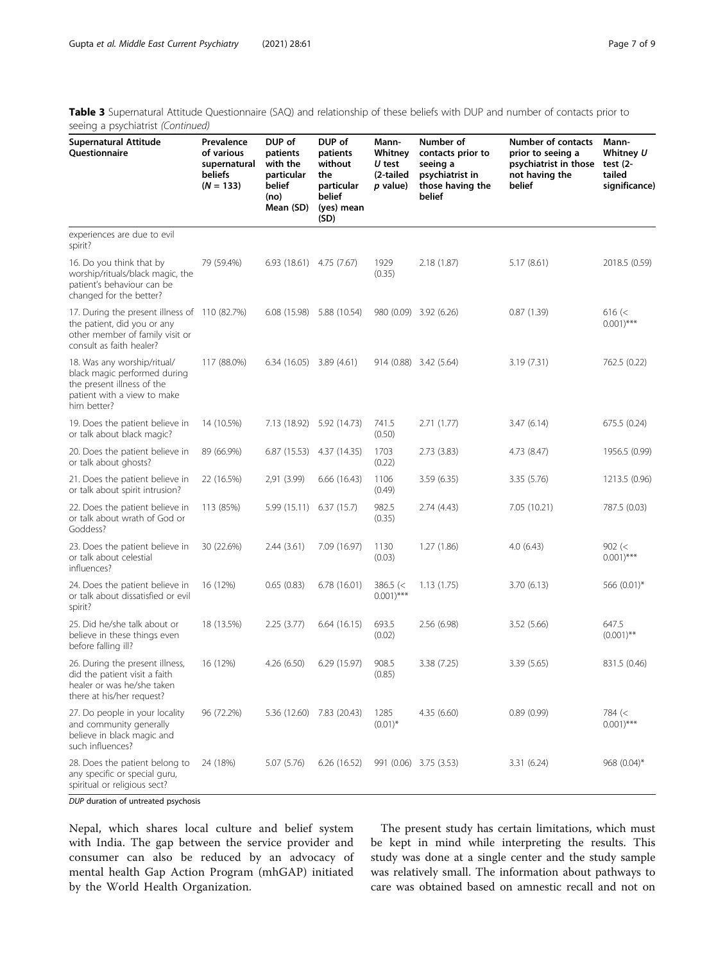Table 3 Supernatural Attitude Questionnaire (SAQ) and relationship of these beliefs with DUP and number of contacts prior to seeing a psychiatrist (Continued)

| <b>Supernatural Attitude</b><br>Questionnaire                                                                                               | Prevalence<br>of various<br>supernatural<br>beliefs<br>$(N = 133)$ | DUP of<br>patients<br>with the<br>particular<br>belief<br>(no)<br>Mean (SD) | DUP of<br>patients<br>without<br>the<br>particular<br>belief<br>(yes) mean<br>(SD) | Mann-<br>Whitney<br>U test<br>(2-tailed<br>p value) | Number of<br>contacts prior to<br>seeing a<br>psychiatrist in<br>those having the<br>belief | Number of contacts<br>prior to seeing a<br>psychiatrist in those<br>not having the<br>belief | Mann-<br>Whitney U<br>test $(2 -$<br>tailed<br>significance) |
|---------------------------------------------------------------------------------------------------------------------------------------------|--------------------------------------------------------------------|-----------------------------------------------------------------------------|------------------------------------------------------------------------------------|-----------------------------------------------------|---------------------------------------------------------------------------------------------|----------------------------------------------------------------------------------------------|--------------------------------------------------------------|
| experiences are due to evil<br>spirit?                                                                                                      |                                                                    |                                                                             |                                                                                    |                                                     |                                                                                             |                                                                                              |                                                              |
| 16. Do you think that by<br>worship/rituals/black magic, the<br>patient's behaviour can be<br>changed for the better?                       | 79 (59.4%)                                                         | $6.93(18.61)$ $4.75(7.67)$                                                  |                                                                                    | 1929<br>(0.35)                                      | 2.18(1.87)                                                                                  | 5.17(8.61)                                                                                   | 2018.5 (0.59)                                                |
| 17. During the present illness of 110 (82.7%)<br>the patient, did you or any<br>other member of family visit or<br>consult as faith healer? |                                                                    |                                                                             | 6.08 (15.98) 5.88 (10.54)                                                          |                                                     | 980 (0.09) 3.92 (6.26)                                                                      | 0.87(1.39)                                                                                   | 616 (<<br>$0.001)$ ***                                       |
| 18. Was any worship/ritual/<br>black magic performed during<br>the present illness of the<br>patient with a view to make<br>him better?     | 117 (88.0%)                                                        | $6.34(16.05)$ $3.89(4.61)$                                                  |                                                                                    |                                                     | 914 (0.88) 3.42 (5.64)                                                                      | 3.19 (7.31)                                                                                  | 762.5 (0.22)                                                 |
| 19. Does the patient believe in<br>or talk about black magic?                                                                               | 14 (10.5%)                                                         | 7.13 (18.92)                                                                | 5.92 (14.73)                                                                       | 741.5<br>(0.50)                                     | 2.71(1.77)                                                                                  | 3.47(6.14)                                                                                   | 675.5 (0.24)                                                 |
| 20. Does the patient believe in<br>or talk about ghosts?                                                                                    | 89 (66.9%)                                                         |                                                                             | 6.87 (15.53) 4.37 (14.35)                                                          | 1703<br>(0.22)                                      | 2.73(3.83)                                                                                  | 4.73 (8.47)                                                                                  | 1956.5 (0.99)                                                |
| 21. Does the patient believe in<br>or talk about spirit intrusion?                                                                          | 22 (16.5%)                                                         | 2,91 (3.99)                                                                 | 6.66(16.43)                                                                        | 1106<br>(0.49)                                      | 3.59(6.35)                                                                                  | 3.35 (5.76)                                                                                  | 1213.5 (0.96)                                                |
| 22. Does the patient believe in<br>or talk about wrath of God or<br>Goddess?                                                                | 113 (85%)                                                          | 5.99 (15.11) 6.37 (15.7)                                                    |                                                                                    | 982.5<br>(0.35)                                     | 2.74(4.43)                                                                                  | 7.05 (10.21)                                                                                 | 787.5 (0.03)                                                 |
| 23. Does the patient believe in<br>or talk about celestial<br>influences?                                                                   | 30 (22.6%)                                                         | 2.44(3.61)                                                                  | 7.09 (16.97)                                                                       | 1130<br>(0.03)                                      | 1.27(1.86)                                                                                  | 4.0(6.43)                                                                                    | 902 (<<br>$0.001$ <sup>***</sup>                             |
| 24. Does the patient believe in<br>or talk about dissatisfied or evil<br>spirit?                                                            | 16 (12%)                                                           | 0.65(0.83)                                                                  | 6.78(16.01)                                                                        | $386.5$ (<<br>$0.001$ <sup>***</sup>                | 1.13(1.75)                                                                                  | 3.70(6.13)                                                                                   | 566 (0.01)*                                                  |
| 25. Did he/she talk about or<br>believe in these things even<br>before falling ill?                                                         | 18 (13.5%)                                                         | 2.25(3.77)                                                                  | 6.64(16.15)                                                                        | 693.5<br>(0.02)                                     | 2.56(6.98)                                                                                  | 3.52 (5.66)                                                                                  | 647.5<br>$(0.001)$ **                                        |
| 26. During the present illness,<br>did the patient visit a faith<br>healer or was he/she taken<br>there at his/her request?                 | 16 (12%)                                                           | 4.26 (6.50)                                                                 | 6.29 (15.97)                                                                       | 908.5<br>(0.85)                                     | 3.38 (7.25)                                                                                 | 3.39 (5.65)                                                                                  | 831.5 (0.46)                                                 |
| 27. Do people in your locality<br>and community generally<br>believe in black magic and<br>such influences?                                 | 96 (72.2%)                                                         | 5.36 (12.60)                                                                | 7.83 (20.43)                                                                       | 1285<br>$(0.01)^*$                                  | 4.35(6.60)                                                                                  | 0.89(0.99)                                                                                   | 784 (<<br>$0.001)$ ***                                       |
| 28. Does the patient belong to<br>any specific or special guru,<br>spiritual or religious sect?                                             | 24 (18%)                                                           | 5.07 (5.76)                                                                 | 6.26(16.52)                                                                        |                                                     | 991 (0.06) 3.75 (3.53)                                                                      | 3.31(6.24)                                                                                   | $968(0.04)^{*}$                                              |

DUP duration of untreated psychosis

Nepal, which shares local culture and belief system with India. The gap between the service provider and consumer can also be reduced by an advocacy of mental health Gap Action Program (mhGAP) initiated by the World Health Organization.

The present study has certain limitations, which must be kept in mind while interpreting the results. This study was done at a single center and the study sample was relatively small. The information about pathways to care was obtained based on amnestic recall and not on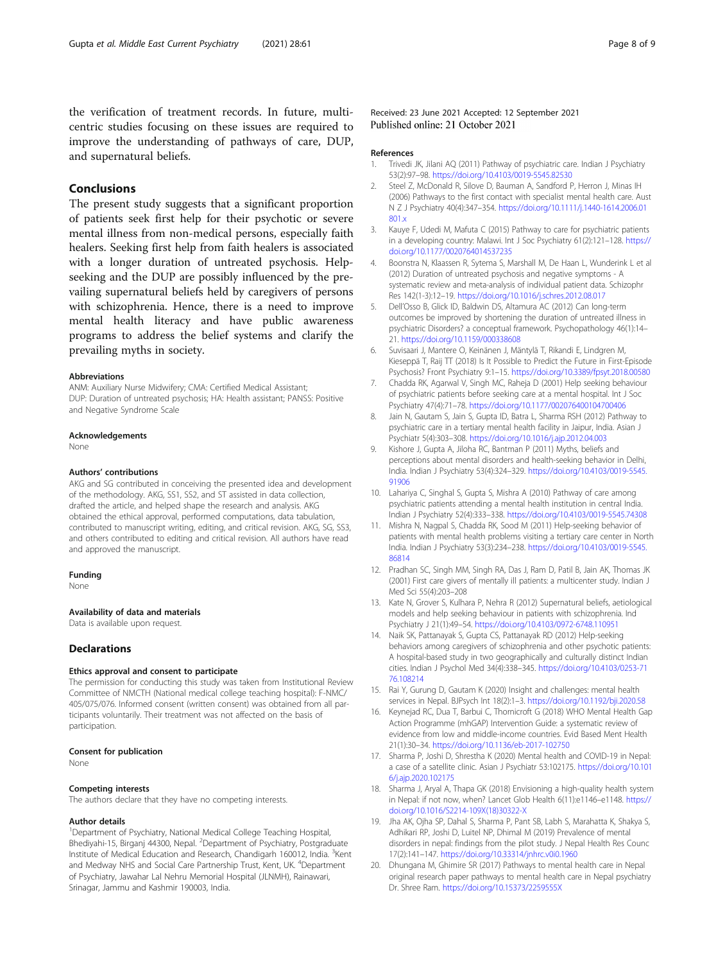<span id="page-7-0"></span>the verification of treatment records. In future, multicentric studies focusing on these issues are required to improve the understanding of pathways of care, DUP, and supernatural beliefs.

### Conclusions

The present study suggests that a significant proportion of patients seek first help for their psychotic or severe mental illness from non-medical persons, especially faith healers. Seeking first help from faith healers is associated with a longer duration of untreated psychosis. Helpseeking and the DUP are possibly influenced by the prevailing supernatural beliefs held by caregivers of persons with schizophrenia. Hence, there is a need to improve mental health literacy and have public awareness programs to address the belief systems and clarify the prevailing myths in society.

#### Abbreviations

ANM: Auxiliary Nurse Midwifery; CMA: Certified Medical Assistant; DUP: Duration of untreated psychosis; HA: Health assistant; PANSS: Positive and Negative Syndrome Scale

#### Acknowledgements

None

#### Authors' contributions

AKG and SG contributed in conceiving the presented idea and development of the methodology. AKG, SS1, SS2, and ST assisted in data collection, drafted the article, and helped shape the research and analysis. AKG obtained the ethical approval, performed computations, data tabulation, contributed to manuscript writing, editing, and critical revision. AKG, SG, SS3, and others contributed to editing and critical revision. All authors have read and approved the manuscript.

#### Funding

None

#### Availability of data and materials

Data is available upon request.

#### Declarations

#### Ethics approval and consent to participate

The permission for conducting this study was taken from Institutional Review Committee of NMCTH (National medical college teaching hospital): F-NMC/ 405/075/076. Informed consent (written consent) was obtained from all participants voluntarily. Their treatment was not affected on the basis of participation.

#### Consent for publication

None

#### Competing interests

The authors declare that they have no competing interests.

#### Author details

<sup>1</sup>Department of Psychiatry, National Medical College Teaching Hospital, Bhediyahi-15, Birganj 44300, Nepal. <sup>2</sup>Department of Psychiatry, Postgraduate Institute of Medical Education and Research, Chandigarh 160012, India. <sup>3</sup>Kent and Medway NHS and Social Care Partnership Trust, Kent, UK. <sup>4</sup>Department of Psychiatry, Jawahar Lal Nehru Memorial Hospital (JLNMH), Rainawari, Srinagar, Jammu and Kashmir 190003, India.

Received: 23 June 2021 Accepted: 12 September 2021 Published online: 21 October 2021

#### References

- 1. Trivedi JK, Jilani AQ (2011) Pathway of psychiatric care. Indian J Psychiatry 53(2):97–98. <https://doi.org/10.4103/0019-5545.82530>
- 2. Steel Z, McDonald R, Silove D, Bauman A, Sandford P, Herron J, Minas IH (2006) Pathways to the first contact with specialist mental health care. Aust N Z J Psychiatry 40(4):347–354. [https://doi.org/10.1111/j.1440-1614.2006.01](https://doi.org/10.1111/j.1440-1614.2006.01801.x) [801.x](https://doi.org/10.1111/j.1440-1614.2006.01801.x)
- 3. Kauye F, Udedi M, Mafuta C (2015) Pathway to care for psychiatric patients in a developing country: Malawi. Int J Soc Psychiatry 61(2):121–128. [https://](https://doi.org/10.1177/0020764014537235) [doi.org/10.1177/0020764014537235](https://doi.org/10.1177/0020764014537235)
- 4. Boonstra N, Klaassen R, Sytema S, Marshall M, De Haan L, Wunderink L et al (2012) Duration of untreated psychosis and negative symptoms - A systematic review and meta-analysis of individual patient data. Schizophr Res 142(1-3):12–19. <https://doi.org/10.1016/j.schres.2012.08.017>
- 5. Dell'Osso B, Glick ID, Baldwin DS, Altamura AC (2012) Can long-term outcomes be improved by shortening the duration of untreated illness in psychiatric Disorders? a conceptual framework. Psychopathology 46(1):14– 21. <https://doi.org/10.1159/000338608>
- 6. Suvisaari J, Mantere O, Keinänen J, Mäntylä T, Rikandi E, Lindgren M, Kieseppä T, Raij TT (2018) Is It Possible to Predict the Future in First-Episode Psychosis? Front Psychiatry 9:1–15. <https://doi.org/10.3389/fpsyt.2018.00580>
- 7. Chadda RK, Agarwal V, Singh MC, Raheja D (2001) Help seeking behaviour of psychiatric patients before seeking care at a mental hospital. Int J Soc Psychiatry 47(4):71–78. <https://doi.org/10.1177/002076400104700406>
- 8. Jain N, Gautam S, Jain S, Gupta ID, Batra L, Sharma RSH (2012) Pathway to psychiatric care in a tertiary mental health facility in Jaipur, India. Asian J Psychiatr 5(4):303–308. <https://doi.org/10.1016/j.ajp.2012.04.003>
- 9. Kishore J, Gupta A, Jiloha RC, Bantman P (2011) Myths, beliefs and perceptions about mental disorders and health-seeking behavior in Delhi, India. Indian J Psychiatry 53(4):324–329. [https://doi.org/10.4103/0019-5545.](https://doi.org/10.4103/0019-5545.91906) [91906](https://doi.org/10.4103/0019-5545.91906)
- 10. Lahariya C, Singhal S, Gupta S, Mishra A (2010) Pathway of care among psychiatric patients attending a mental health institution in central India. Indian J Psychiatry 52(4):333–338. <https://doi.org/10.4103/0019-5545.74308>
- 11. Mishra N, Nagpal S, Chadda RK, Sood M (2011) Help-seeking behavior of patients with mental health problems visiting a tertiary care center in North India. Indian J Psychiatry 53(3):234–238. [https://doi.org/10.4103/0019-5545.](https://doi.org/10.4103/0019-5545.86814) [86814](https://doi.org/10.4103/0019-5545.86814)
- 12. Pradhan SC, Singh MM, Singh RA, Das J, Ram D, Patil B, Jain AK, Thomas JK (2001) First care givers of mentally ill patients: a multicenter study. Indian J Med Sci 55(4):203–208
- 13. Kate N, Grover S, Kulhara P, Nehra R (2012) Supernatural beliefs, aetiological models and help seeking behaviour in patients with schizophrenia. Ind Psychiatry J 21(1):49–54. <https://doi.org/10.4103/0972-6748.110951>
- 14. Naik SK, Pattanayak S, Gupta CS, Pattanayak RD (2012) Help-seeking behaviors among caregivers of schizophrenia and other psychotic patients: A hospital-based study in two geographically and culturally distinct Indian cities. Indian J Psychol Med 34(4):338–345. [https://doi.org/10.4103/0253-71](https://doi.org/10.4103/0253-7176.108214) [76.108214](https://doi.org/10.4103/0253-7176.108214)
- 15. Rai Y, Gurung D, Gautam K (2020) Insight and challenges: mental health services in Nepal. BJPsych Int 18(2):1–3. <https://doi.org/10.1192/bji.2020.58>
- 16. Keynejad RC, Dua T, Barbui C, Thornicroft G (2018) WHO Mental Health Gap Action Programme (mhGAP) Intervention Guide: a systematic review of evidence from low and middle-income countries. Evid Based Ment Health 21(1):30–34. <https://doi.org/10.1136/eb-2017-102750>
- 17. Sharma P, Joshi D, Shrestha K (2020) Mental health and COVID-19 in Nepal: a case of a satellite clinic. Asian J Psychiatr 53:102175. [https://doi.org/10.101](https://doi.org/10.1016/j.ajp.2020.102175) [6/j.ajp.2020.102175](https://doi.org/10.1016/j.ajp.2020.102175)
- 18. Sharma J, Aryal A, Thapa GK (2018) Envisioning a high-quality health system in Nepal: if not now, when? Lancet Glob Health 6(11):e1146–e1148. [https://](https://doi.org/10.1016/S2214-109X(18)30322-X) [doi.org/10.1016/S2214-109X\(18\)30322-X](https://doi.org/10.1016/S2214-109X(18)30322-X)
- 19. Jha AK, Ojha SP, Dahal S, Sharma P, Pant SB, Labh S, Marahatta K, Shakya S, Adhikari RP, Joshi D, Luitel NP, Dhimal M (2019) Prevalence of mental disorders in nepal: findings from the pilot study. J Nepal Health Res Counc 17(2):141–147. <https://doi.org/10.33314/jnhrc.v0i0.1960>
- 20. Dhungana M, Ghimire SR (2017) Pathways to mental health care in Nepal original research paper pathways to mental health care in Nepal psychiatry Dr. Shree Ram. <https://doi.org/10.15373/2259555X>